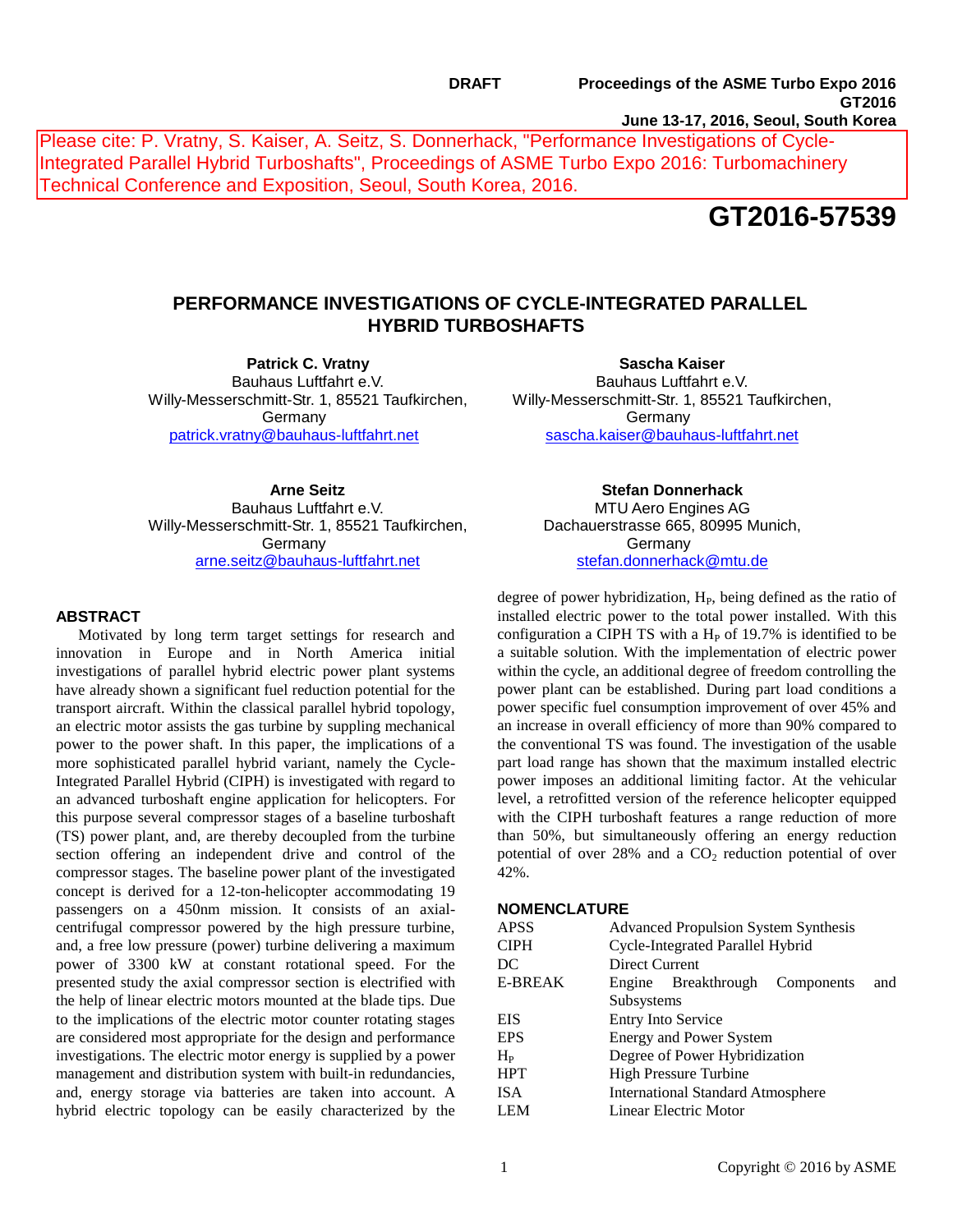Please cite: P. Vratny, S. Kaiser, A. Seitz, S. Donnerhack, "Performance Investigations of Cycle-Integrated Parallel Hybrid Turboshafts", Proceedings of ASME Turbo Expo 2016: Turbomachinery Technical Conference and Exposition, Seoul, South Korea, 2016.

# **GT2016-57539**

## **PERFORMANCE INVESTIGATIONS OF CYCLE-INTEGRATED PARALLEL HYBRID TURBOSHAFTS**

**Patrick C. Vratny** Bauhaus Luftfahrt e.V. Willy-Messerschmitt-Str. 1, 85521 Taufkirchen, **Germany** [patrick.vratny@bauhaus-luftfahrt.net](mailto:patrick.vratny@bauhaus-luftfahrt.net)

**Sascha Kaiser** Bauhaus Luftfahrt e.V. Willy-Messerschmitt-Str. 1, 85521 Taufkirchen, Germany [sascha.kaiser@bauhaus-luftfahrt.net](mailto:sascha.kaiser@bauhaus-luftfahrt.net)

**Arne Seitz** Bauhaus Luftfahrt e.V. Willy-Messerschmitt-Str. 1, 85521 Taufkirchen, **Germany** [arne.seitz@bauhaus-luftfahrt.net](mailto:arne.seitz@bauhaus-luftfahrt.net)

## **ABSTRACT**

Motivated by long term target settings for research and innovation in Europe and in North America initial investigations of parallel hybrid electric power plant systems have already shown a significant fuel reduction potential for the transport aircraft. Within the classical parallel hybrid topology, an electric motor assists the gas turbine by suppling mechanical power to the power shaft. In this paper, the implications of a more sophisticated parallel hybrid variant, namely the Cycle-Integrated Parallel Hybrid (CIPH) is investigated with regard to an advanced turboshaft engine application for helicopters. For this purpose several compressor stages of a baseline turboshaft (TS) power plant, and, are thereby decoupled from the turbine section offering an independent drive and control of the compressor stages. The baseline power plant of the investigated concept is derived for a 12-ton-helicopter accommodating 19 passengers on a 450nm mission. It consists of an axialcentrifugal compressor powered by the high pressure turbine, and, a free low pressure (power) turbine delivering a maximum power of 3300 kW at constant rotational speed. For the presented study the axial compressor section is electrified with the help of linear electric motors mounted at the blade tips. Due to the implications of the electric motor counter rotating stages are considered most appropriate for the design and performance investigations. The electric motor energy is supplied by a power management and distribution system with built-in redundancies, and, energy storage via batteries are taken into account. A hybrid electric topology can be easily characterized by the

**Stefan Donnerhack** MTU Aero Engines AG Dachauerstrasse 665, 80995 Munich, **Germany** [stefan.donnerhack@mtu.de](mailto:stefan.donnerhack@mtu.de)

degree of power hybridization, H<sub>P</sub>, being defined as the ratio of installed electric power to the total power installed. With this configuration a CIPH TS with a  $H<sub>P</sub>$  of 19.7% is identified to be a suitable solution. With the implementation of electric power within the cycle, an additional degree of freedom controlling the power plant can be established. During part load conditions a power specific fuel consumption improvement of over 45% and an increase in overall efficiency of more than 90% compared to the conventional TS was found. The investigation of the usable part load range has shown that the maximum installed electric power imposes an additional limiting factor. At the vehicular level, a retrofitted version of the reference helicopter equipped with the CIPH turboshaft features a range reduction of more than 50%, but simultaneously offering an energy reduction potential of over  $28\%$  and a  $CO<sub>2</sub>$  reduction potential of over 42%.

## **NOMENCLATURE**

| <b>APSS</b>    | <b>Advanced Propulsion System Synthesis</b> |                                |  |     |  |
|----------------|---------------------------------------------|--------------------------------|--|-----|--|
| <b>CIPH</b>    | Cycle-Integrated Parallel Hybrid            |                                |  |     |  |
| DC             | Direct Current                              |                                |  |     |  |
| <b>E-BREAK</b> |                                             | Engine Breakthrough Components |  | and |  |
|                | Subsystems                                  |                                |  |     |  |
| <b>EIS</b>     | <b>Entry Into Service</b>                   |                                |  |     |  |
| <b>EPS</b>     | <b>Energy and Power System</b>              |                                |  |     |  |
| $H_{\rm P}$    | Degree of Power Hybridization               |                                |  |     |  |
| <b>HPT</b>     | <b>High Pressure Turbine</b>                |                                |  |     |  |
| <b>ISA</b>     | <b>International Standard Atmosphere</b>    |                                |  |     |  |
| <b>LEM</b>     | Linear Electric Motor                       |                                |  |     |  |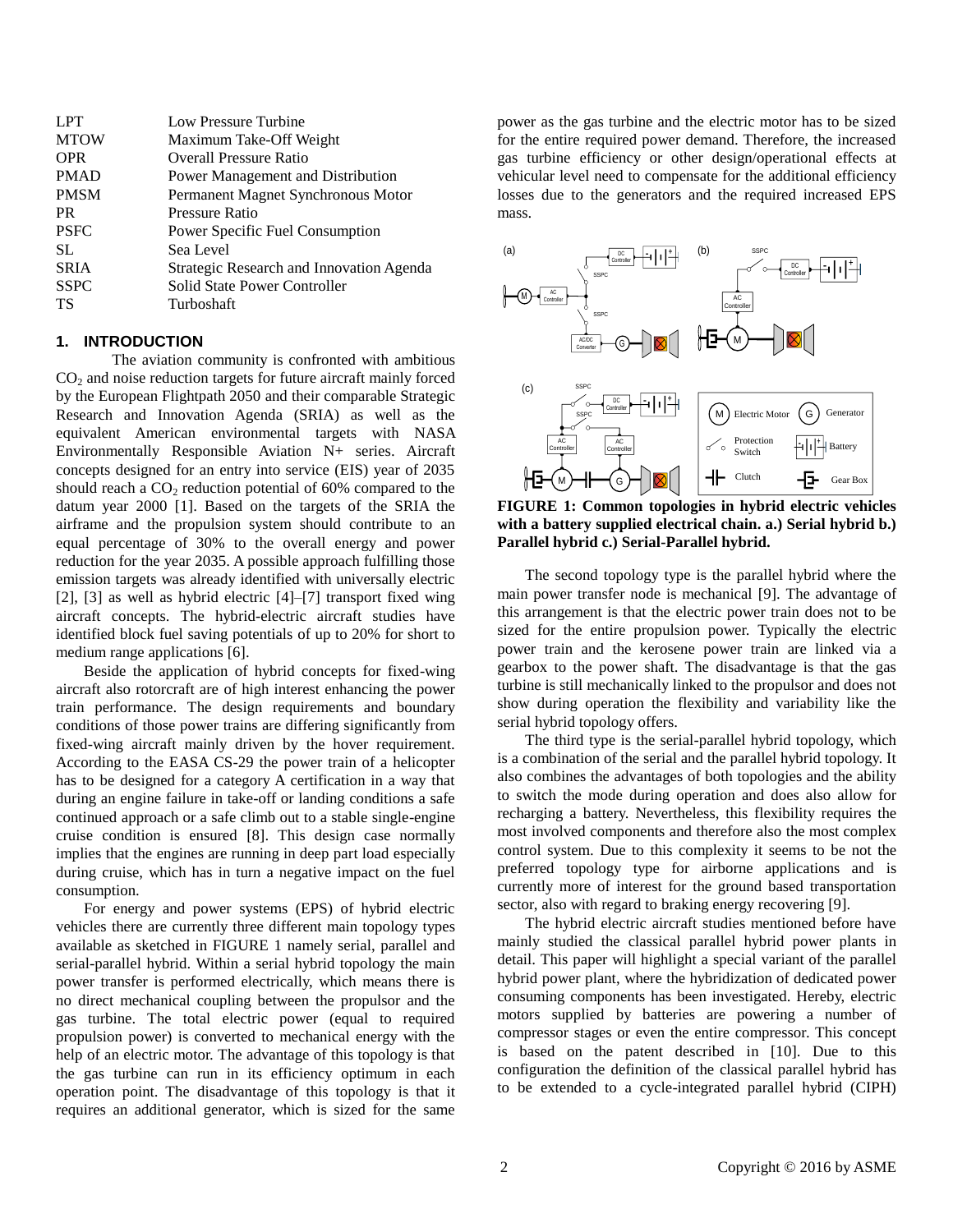| Low Pressure Turbine                     |
|------------------------------------------|
| Maximum Take-Off Weight                  |
| <b>Overall Pressure Ratio</b>            |
| Power Management and Distribution        |
| Permanent Magnet Synchronous Motor       |
| Pressure Ratio                           |
| Power Specific Fuel Consumption          |
| Sea Level                                |
| Strategic Research and Innovation Agenda |
| Solid State Power Controller             |
| Turboshaft                               |
|                                          |

#### **1. INTRODUCTION**

The aviation community is confronted with ambitious  $CO<sub>2</sub>$  and noise reduction targets for future aircraft mainly forced by the European Flightpath 2050 and their comparable Strategic Research and Innovation Agenda (SRIA) as well as the equivalent American environmental targets with NASA  $\begin{bmatrix} 1 & 0 \\ 0 & 0 \end{bmatrix}$ Environmentally Responsible Aviation N+ series. Aircraft concepts designed for an entry into service (EIS) year of 2035 should reach a  $CO_2$  reduction potential of 60% compared to the datum year 2000 [1]. Based on the targets of the SRIA the airframe and the propulsion system should contribute to an equal percentage of 30% to the overall energy and power reduction for the year 2035. A possible approach fulfilling those emission targets was already identified with universally electric [2], [3] as well as hybrid electric [4]–[7] transport fixed wing aircraft concepts. The hybrid-electric aircraft studies have identified block fuel saving potentials of up to 20% for short to medium range applications [6]. 1 Flightpath  $2050$  and their comparable Strategic  $\qquad$  (c)

Beside the application of hybrid concepts for fixed-wing aircraft also rotorcraft are of high interest enhancing the power train performance. The design requirements and boundary conditions of those power trains are differing significantly from fixed-wing aircraft mainly driven by the hover requirement. According to the EASA CS-29 the power train of a helicopter has to be designed for a category A certification in a way that during an engine failure in take-off or landing conditions a safe continued approach or a safe climb out to a stable single-engine cruise condition is ensured [8]. This design case normally implies that the engines are running in deep part load especially during cruise, which has in turn a negative impact on the fuel consumption.

For energy and power systems (EPS) of hybrid electric vehicles there are currently three different main topology types available as sketched in [FIGURE 1](#page-1-0) namely serial, parallel and serial-parallel hybrid. Within a serial hybrid topology the main power transfer is performed electrically, which means there is no direct mechanical coupling between the propulsor and the gas turbine. The total electric power (equal to required propulsion power) is converted to mechanical energy with the help of an electric motor. The advantage of this topology is that the gas turbine can run in its efficiency optimum in each operation point. The disadvantage of this topology is that it requires an additional generator, which is sized for the same power as the gas turbine and the electric motor has to be sized for the entire required power demand. Therefore, the increased gas turbine efficiency or other design/operational effects at vehicular level need to compensate for the additional efficiency losses due to the generators and the required increased EPS mass.



<span id="page-1-0"></span>with a battery supplied electrical chain. a.) Serial hybrid b.) FIGURE 1: Common topologies in hybrid electric vehicles **Parallel hybrid c.) Serial-Parallel hybrid.**

The second topology type is the parallel hybrid where the main power transfer node is mechanical [9]. The advantage of this arrangement is that the electric power train does not to be sized for the entire propulsion power. Typically the electric power train and the kerosene power train are linked via a gearbox to the power shaft. The disadvantage is that the gas turbine is still mechanically linked to the propulsor and does not show during operation the flexibility and variability like the serial hybrid topology offers.

The third type is the serial-parallel hybrid topology, which is a combination of the serial and the parallel hybrid topology. It also combines the advantages of both topologies and the ability to switch the mode during operation and does also allow for recharging a battery. Nevertheless, this flexibility requires the most involved components and therefore also the most complex control system. Due to this complexity it seems to be not the preferred topology type for airborne applications and is currently more of interest for the ground based transportation sector, also with regard to braking energy recovering [9].

The hybrid electric aircraft studies mentioned before have mainly studied the classical parallel hybrid power plants in detail. This paper will highlight a special variant of the parallel hybrid power plant, where the hybridization of dedicated power consuming components has been investigated. Hereby, electric motors supplied by batteries are powering a number of compressor stages or even the entire compressor. This concept is based on the patent described in [10]. Due to this configuration the definition of the classical parallel hybrid has to be extended to a cycle-integrated parallel hybrid (CIPH)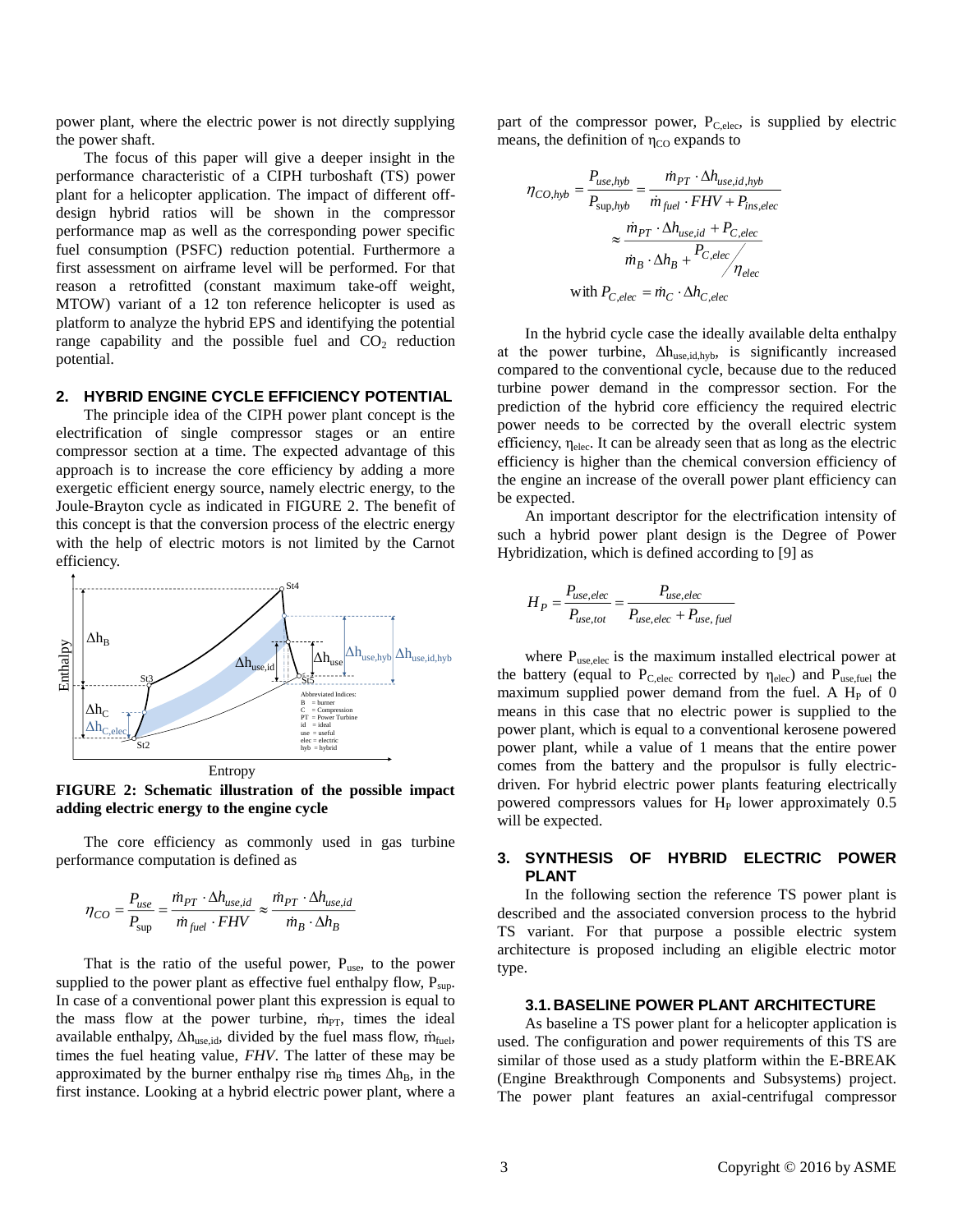power plant, where the electric power is not directly supplying the power shaft.

The focus of this paper will give a deeper insight in the performance characteristic of a CIPH turboshaft (TS) power plant for a helicopter application. The impact of different offdesign hybrid ratios will be shown in the compressor performance map as well as the corresponding power specific fuel consumption (PSFC) reduction potential. Furthermore a first assessment on airframe level will be performed. For that reason a retrofitted (constant maximum take-off weight, MTOW) variant of a 12 ton reference helicopter is used as platform to analyze the hybrid EPS and identifying the potential range capability and the possible fuel and  $CO<sub>2</sub>$  reduction potential.

## **2. HYBRID ENGINE CYCLE EFFICIENCY POTENTIAL**

The principle idea of the CIPH power plant concept is the electrification of single compressor stages or an entire compressor section at a time. The expected advantage of this approach is to increase the core efficiency by adding a more exergetic efficient energy source, namely electric energy, to the Joule-Brayton cycle as indicated in [FIGURE 2.](#page-2-0) The benefit of this concept is that the conversion process of the electric energy with the help of electric motors is not limited by the Carnot efficiency.



<span id="page-2-0"></span>**FIGURE 2: Schematic illustration of the possible impact adding electric energy to the engine cycle**

The core efficiency as commonly used in gas turbine performance computation is defined as

$$
\eta_{CO} = \frac{P_{use}}{P_{sup}} = \frac{\dot{m}_{PT} \cdot \Delta h_{use,id}}{\dot{m}_{fuel} \cdot FHV} \approx \frac{\dot{m}_{PT} \cdot \Delta h_{use,id}}{\dot{m}_B \cdot \Delta h_B}
$$

That is the ratio of the useful power,  $P_{use}$ , to the power supplied to the power plant as effective fuel enthalpy flow,  $P_{\text{sup}}$ . In case of a conventional power plant this expression is equal to the mass flow at the power turbine, m<sub>PT</sub>, times the ideal available enthalpy,  $\Delta h_{use,id}$ , divided by the fuel mass flow,  $\dot{m}_{fuel}$ , times the fuel heating value, *FHV*. The latter of these may be approximated by the burner enthalpy rise  $\dot{m}_B$  times  $\Delta h_B$ , in the first instance. Looking at a hybrid electric power plant, where a part of the compressor power,  $P_{C,elec}$ , is supplied by electric means, the definition of  $\eta_{\rm CO}$  expands to

$$
\eta_{CO,hyb} = \frac{P_{use,hyb}}{P_{\text{sup,hyb}}} = \frac{\dot{m}_{PT} \cdot \Delta h_{use,id,hyb}}{\dot{m}_{fuel} \cdot FHV + P_{ins,elec}}
$$

$$
\approx \frac{\dot{m}_{PT} \cdot \Delta h_{use,id} + P_{C,elec}}{\dot{m}_B \cdot \Delta h_B + P_{C,elec}} / \eta_{elec}
$$
with  $P_{C,elec} = \dot{m}_C \cdot \Delta h_{C,elec}$ 

In the hybrid cycle case the ideally available delta enthalpy at the power turbine,  $\Delta h_{use,id,hyb}$ , is significantly increased compared to the conventional cycle, because due to the reduced turbine power demand in the compressor section. For the prediction of the hybrid core efficiency the required electric power needs to be corrected by the overall electric system efficiency,  $\eta_{elec}$ . It can be already seen that as long as the electric efficiency is higher than the chemical conversion efficiency of the engine an increase of the overall power plant efficiency can be expected.

An important descriptor for the electrification intensity of such a hybrid power plant design is the Degree of Power Hybridization, which is defined according to [9] as

$$
H_P = \frac{P_{use,elec}}{P_{use,tot}} = \frac{P_{use,elec}}{P_{use,elec} + P_{use,fuel}}
$$

where P<sub>use,elec</sub> is the maximum installed electrical power at the battery (equal to  $P_{C,elec}$  corrected by  $\eta_{elec}$ ) and  $P_{use,fuel}$  the maximum supplied power demand from the fuel. A  $H<sub>P</sub>$  of 0 means in this case that no electric power is supplied to the power plant, which is equal to a conventional kerosene powered power plant, while a value of 1 means that the entire power comes from the battery and the propulsor is fully electricdriven. For hybrid electric power plants featuring electrically powered compressors values for  $H<sub>P</sub>$  lower approximately 0.5 will be expected.

## **3. SYNTHESIS OF HYBRID ELECTRIC POWER PLANT**

In the following section the reference TS power plant is described and the associated conversion process to the hybrid TS variant. For that purpose a possible electric system architecture is proposed including an eligible electric motor type.

## **3.1. BASELINE POWER PLANT ARCHITECTURE**

As baseline a TS power plant for a helicopter application is used. The configuration and power requirements of this TS are similar of those used as a study platform within the E-BREAK (Engine Breakthrough Components and Subsystems) project. The power plant features an axial-centrifugal compressor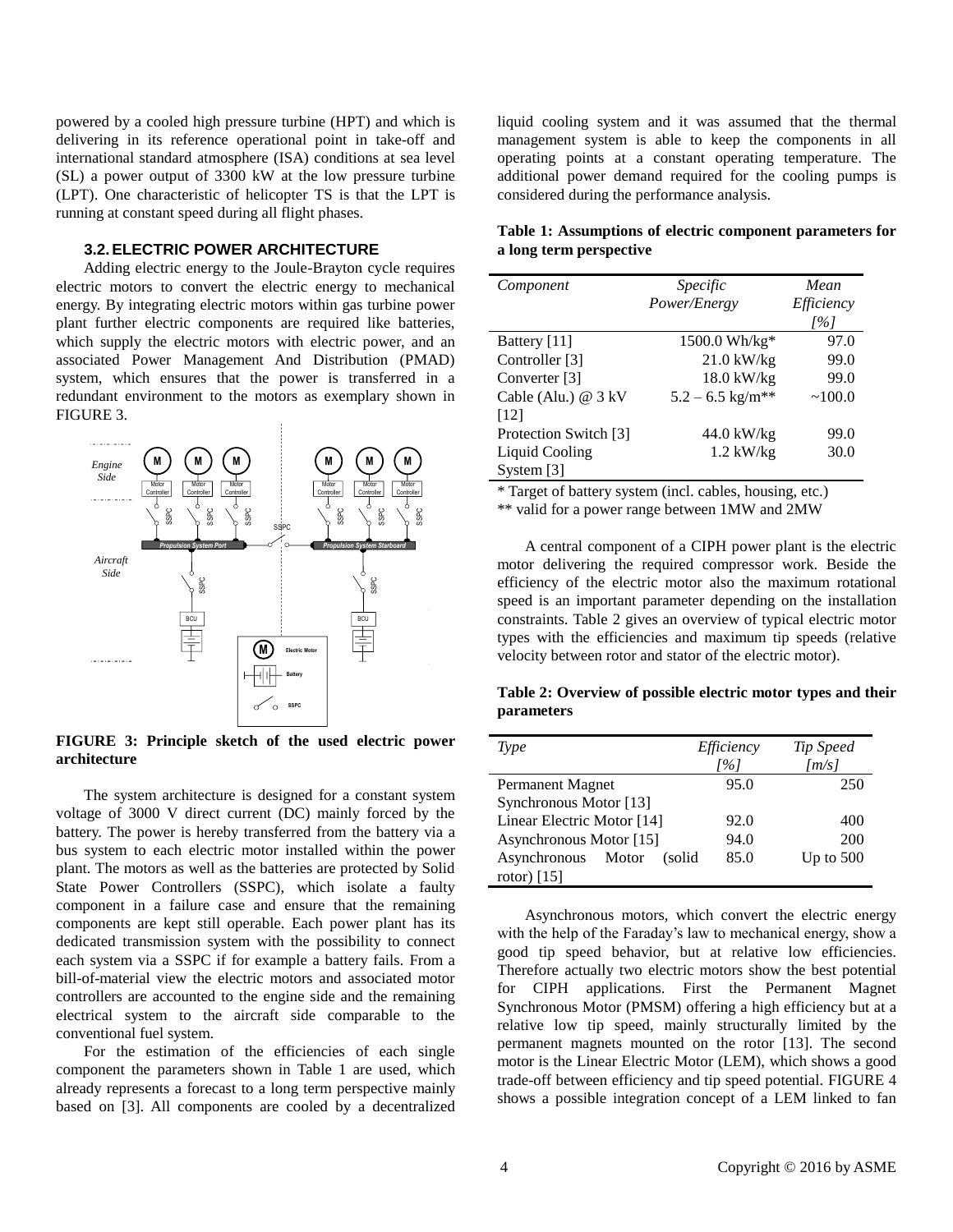powered by a cooled high pressure turbine (HPT) and which is delivering in its reference operational point in take-off and international standard atmosphere (ISA) conditions at sea level (SL) a power output of 3300 kW at the low pressure turbine (LPT). One characteristic of helicopter TS is that the LPT is running at constant speed during all flight phases.

## **3.2.ELECTRIC POWER ARCHITECTURE**

Adding electric energy to the Joule-Brayton cycle requires electric motors to convert the electric energy to mechanical energy. By integrating electric motors within gas turbine power plant further electric components are required like batteries, which supply the electric motors with electric power, and an associated Power Management And Distribution (PMAD) system, which ensures that the power is transferred in a redundant environment to the motors as exemplary shown in [FIGURE 3.](#page-3-0)



<span id="page-3-0"></span>**FIGURE 3: Principle sketch of the used electric power**<br>architecture **architecture**

plant. The motors as well as the batteries are protected by Solid battery. The power is hereby transferred from the battery via a The system architecture is designed for a constant system voltage of 3000 V direct current (DC) mainly forced by the bus system to each electric motor installed within the power State Power Controllers (SSPC), which isolate a faulty component in a failure case and ensure that the remaining components are kept still operable. Each power plant has its dedicated transmission system with the possibility to connect each system via a SSPC if for example a battery fails. From a bill-of-material view the electric motors and associated motor controllers are accounted to the engine side and the remaining electrical system to the aircraft side comparable to the conventional fuel system.

For the estimation of the efficiencies of each single component the parameters shown in [Table 1](#page-3-1) are used, which already represents a forecast to a long term perspective mainly based on [3]. All components are cooled by a decentralized liquid cooling system and it was assumed that the thermal management system is able to keep the components in all operating points at a constant operating temperature. The additional power demand required for the cooling pumps is considered during the performance analysis.

## <span id="page-3-1"></span>**Table 1: Assumptions of electric component parameters for a long term perspective**

| Component                   | Specific                       | Mean       |
|-----------------------------|--------------------------------|------------|
|                             | Power/Energy                   | Efficiency |
|                             |                                | [%]        |
| Battery [11]                | 1500.0 Wh/kg*                  | 97.0       |
| Controller [3]              | $21.0$ kW/kg                   | 99.0       |
| Converter [3]               | $18.0 \text{ kW/kg}$           | 99.0       |
| Cable (Alu.) $@3kV$<br>[12] | $5.2 - 6.5$ kg/m <sup>**</sup> | ~100.0     |
| Protection Switch [3]       | 44.0 kW/kg                     | 99.0       |
| <b>Liquid Cooling</b>       | $1.2$ kW/kg                    | 30.0       |
| System [3]                  |                                |            |

\* Target of battery system (incl. cables, housing, etc.)

\*\* valid for a power range between 1MW and 2MW

motor delivering the required compressor work. Beside the constraints. [Table 2](#page-3-2) gives an overview of typical electric motor Rotational Speed A central component of a CIPH power plant is the electric efficiency of the electric motor also the maximum rotational speed is an important parameter depending on the installation types with the efficiencies and maximum tip speeds (relative velocity between rotor and stator of the electric motor).

<span id="page-3-2"></span>parameters Table 2: Overview of possible electric motor types and their

| Type                         | Efficiency | Tip Speed   |
|------------------------------|------------|-------------|
|                              | [%]        | [m/s]       |
| Permanent Magnet             | 95.0       | 250         |
| Synchronous Motor [13]       |            |             |
| Linear Electric Motor [14]   | 92.0       | 400         |
| Asynchronous Motor [15]      | 94.0       | 200         |
| Asynchronous Motor<br>(solid | 85.0       | Up to $500$ |
| rotor) $[15]$                |            |             |

Asynchronous motors, which convert the electric energy with the help of the Faraday's law to mechanical energy, show a good tip speed behavior, but at relative low efficiencies. Therefore actually two electric motors show the best potential for CIPH applications. First the Permanent Magnet Synchronous Motor (PMSM) offering a high efficiency but at a relative low tip speed, mainly structurally limited by the permanent magnets mounted on the rotor [13]. The second motor is the Linear Electric Motor (LEM), which shows a good trade-off between efficiency and tip speed potential. [FIGURE 4](#page-4-0) shows a possible integration concept of a LEM linked to fan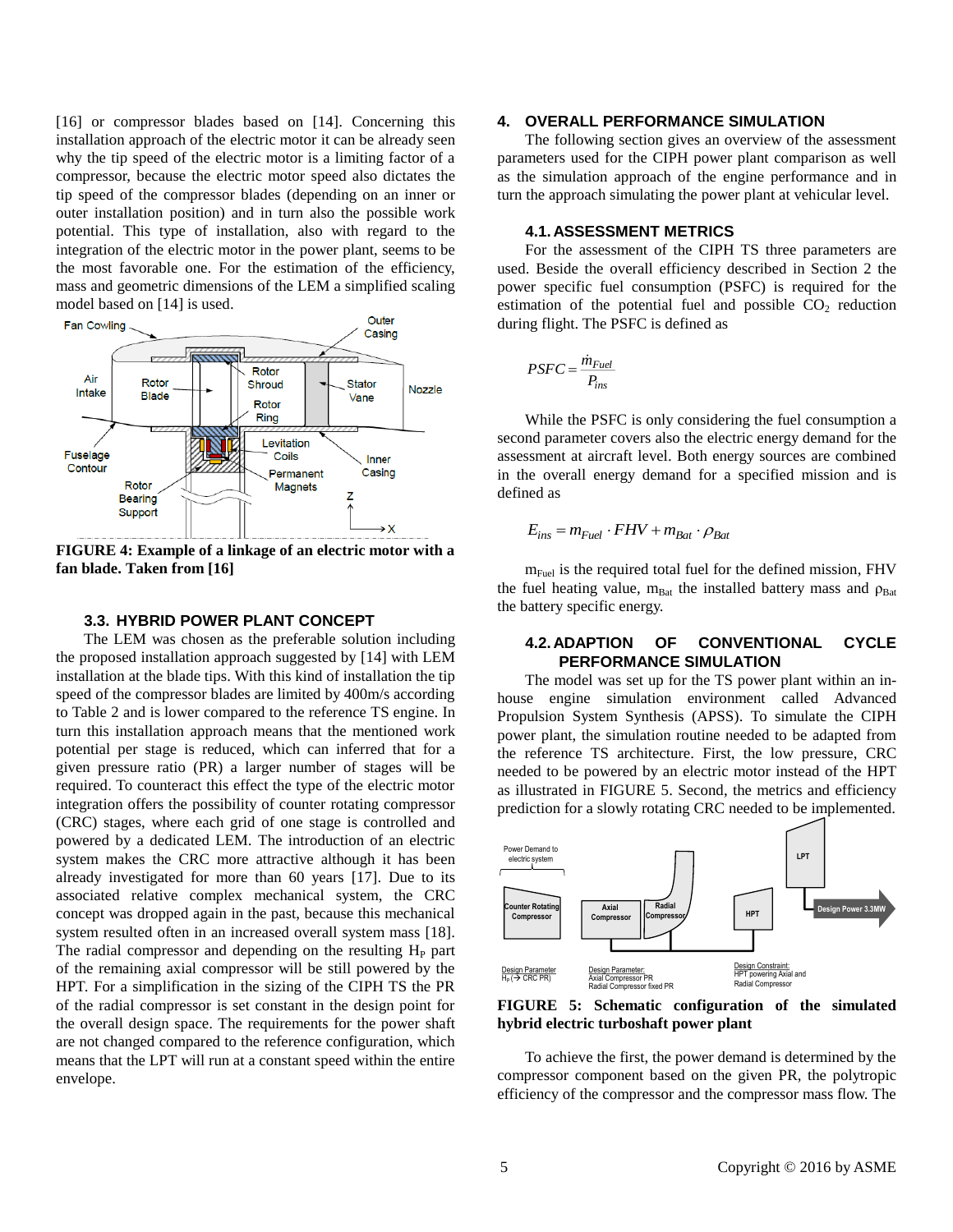[16] or compressor blades based on [14]. Concerning this installation approach of the electric motor it can be already seen why the tip speed of the electric motor is a limiting factor of a compressor, because the electric motor speed also dictates the tip speed of the compressor blades (depending on an inner or outer installation position) and in turn also the possible work potential. This type of installation, also with regard to the integration of the electric motor in the power plant, seems to be the most favorable one. For the estimation of the efficiency, mass and geometric dimensions of the LEM a simplified scaling model based on [14] is used.



<span id="page-4-0"></span>**FIGURE 4: Example of a linkage of an electric motor with a fan blade. Taken from [16]**

#### **3.3. HYBRID POWER PLANT CONCEPT**

The LEM was chosen as the preferable solution including the proposed installation approach suggested by [14] with LEM installation at the blade tips. With this kind of installation the tip speed of the compressor blades are limited by 400m/s according to [Table 2](#page-3-2) and is lower compared to the reference TS engine. In turn this installation approach means that the mentioned work potential per stage is reduced, which can inferred that for a given pressure ratio (PR) a larger number of stages will be required. To counteract this effect the type of the electric motor integration offers the possibility of counter rotating compressor (CRC) stages, where each grid of one stage is controlled and powered by a dedicated LEM. The introduction of an electric system makes the CRC more attractive although it has been already investigated for more than 60 years [17]. Due to its associated relative complex mechanical system, the CRC concept was dropped again in the past, because this mechanical system resulted often in an increased overall system mass [18]. The radial compressor and depending on the resulting  $H<sub>P</sub>$  part of the remaining axial compressor will be still powered by the HPT. For a simplification in the sizing of the CIPH TS the PR of the radial compressor is set constant in the design point for the overall design space. The requirements for the power shaft are not changed compared to the reference configuration, which means that the LPT will run at a constant speed within the entire envelope.

## **4. OVERALL PERFORMANCE SIMULATION**

The following section gives an overview of the assessment parameters used for the CIPH power plant comparison as well as the simulation approach of the engine performance and in turn the approach simulating the power plant at vehicular level.

## **4.1. ASSESSMENT METRICS**

For the assessment of the CIPH TS three parameters are used. Beside the overall efficiency described in Section 2 the power specific fuel consumption (PSFC) is required for the estimation of the potential fuel and possible  $CO<sub>2</sub>$  reduction during flight. The PSFC is defined as

$$
PSFC = \frac{\dot{m}_{Fuel}}{P_{ins}}
$$

While the PSFC is only considering the fuel consumption a second parameter covers also the electric energy demand for the assessment at aircraft level. Both energy sources are combined in the overall energy demand for a specified mission and is defined as

$$
E_{ins} = m_{Fuel} \cdot FHV + m_{Bat} \cdot \rho_{Bat}
$$

 $m_{\text{Fuel}}$  is the required total fuel for the defined mission, FHV the fuel heating value,  $m_{\text{Bat}}$  the installed battery mass and  $\rho_{\text{Bat}}$ the battery specific energy.

#### **4.2. ADAPTION OF CONVENTIONAL CYCLE PERFORMANCE SIMULATION**

The model was set up for the TS power plant within an inhouse engine simulation environment called Advanced Propulsion System Synthesis (APSS). To simulate the CIPH power plant, the simulation routine needed to be adapted from the reference TS architecture. First, the low pressure, CRC needed to be powered by an electric motor instead of the HPT as illustrated in [FIGURE 5.](#page-4-1) Second, the metrics and efficiency prediction for a slowly rotating CRC needed to be implemented.



<span id="page-4-1"></span>**FIGURE 5: Schematic configuration of the simulated hybrid electric turboshaft power plant**

To achieve the first, the power demand is determined by the compressor component based on the given PR, the polytropic efficiency of the compressor and the compressor mass flow. The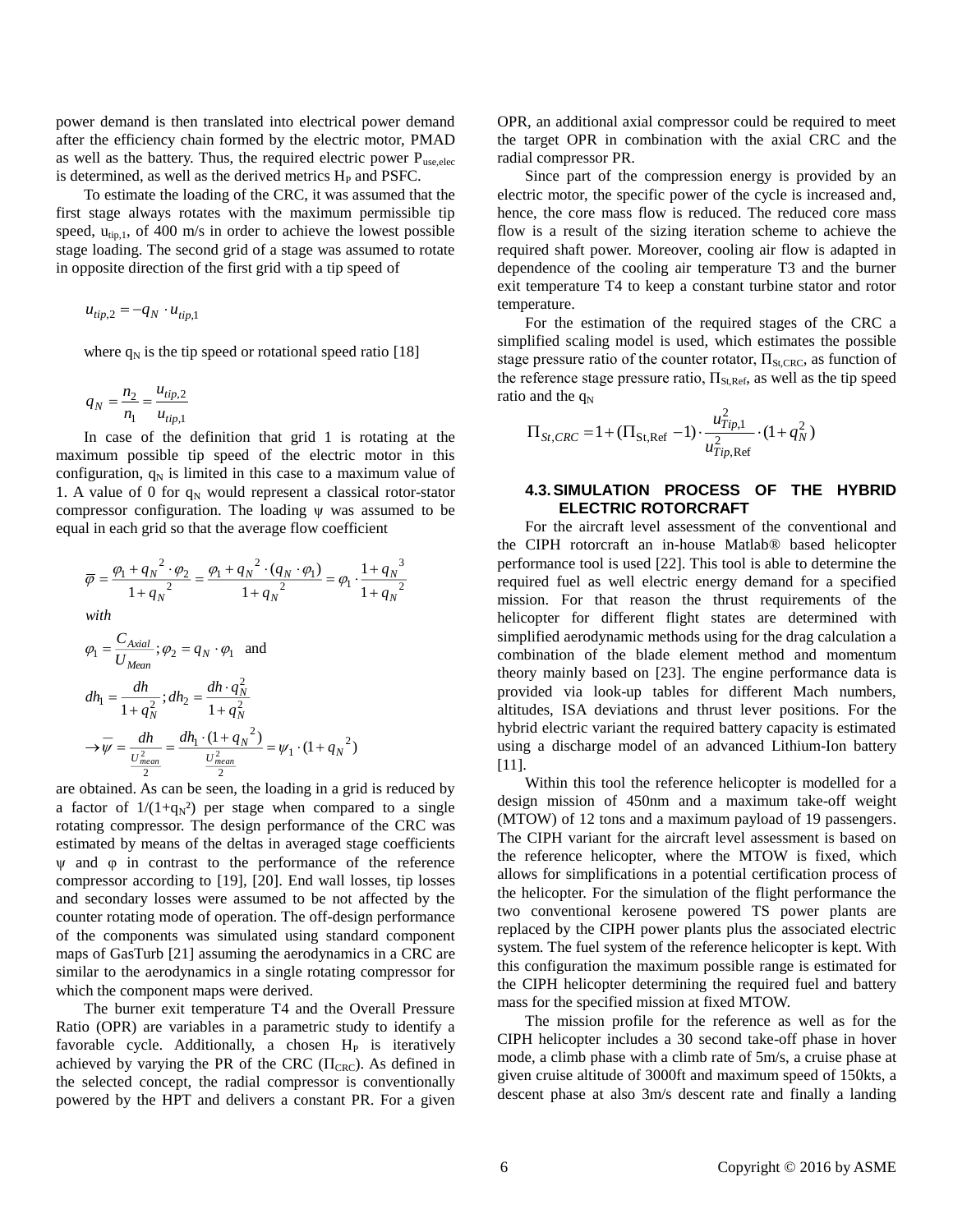power demand is then translated into electrical power demand after the efficiency chain formed by the electric motor, PMAD as well as the battery. Thus, the required electric power  $P_{use, elec}$ is determined, as well as the derived metrics  $H<sub>P</sub>$  and PSFC.

To estimate the loading of the CRC, it was assumed that the first stage always rotates with the maximum permissible tip speed,  $u_{tip,1}$ , of 400 m/s in order to achieve the lowest possible stage loading. The second grid of a stage was assumed to rotate in opposite direction of the first grid with a tip speed of

$$
u_{tip,2} = -q_N \cdot u_{tip,1}
$$

where  $q_N$  is the tip speed or rotational speed ratio [18]

$$
q_N = \frac{n_2}{n_1} = \frac{u_{tip,2}}{u_{tip,1}}
$$

In case of the definition that grid 1 is rotating at the maximum possible tip speed of the electric motor in this configuration,  $q_N$  is limited in this case to a maximum value of 1. A value of 0 for  $q_N$  would represent a classical rotor-stator compressor configuration. The loading ψ was assumed to be equal in each grid so that the average flow coefficient

> 2 3

*N N*

$$
\overline{\varphi} = \frac{\varphi_1 + q_N^2 \cdot \varphi_2}{1 + q_N^2} = \frac{\varphi_1 + q_N^2 \cdot (q_N \cdot \varphi_1)}{1 + q_N^2} = \varphi_1 \cdot \frac{1 + q_N^2}{1 + q_N^2}
$$
\nwith\n
$$
\varphi_1 = \frac{C_{\text{Axial}}}{U_{\text{Mean}}}; \varphi_2 = q_N \cdot \varphi_1 \text{ and}
$$
\n
$$
dh_1 = \frac{dh}{1 + q_N^2}; dh_2 = \frac{dh \cdot q_N^2}{1 + q_N^2}
$$
\n
$$
\rightarrow \overline{\psi} = \frac{dh}{U_{\text{mean}}^2} = \frac{dh_1 \cdot (1 + q_N^2)}{U_{\text{mean}}^2} = \psi_1 \cdot (1 + q_N^2)
$$

are obtained. As can be seen, the loading in a grid is reduced by a factor of  $1/(1+q_N^2)$  per stage when compared to a single rotating compressor. The design performance of the CRC was estimated by means of the deltas in averaged stage coefficients ψ and φ in contrast to the performance of the reference compressor according to [19], [20]. End wall losses, tip losses and secondary losses were assumed to be not affected by the counter rotating mode of operation. The off-design performance of the components was simulated using standard component maps of GasTurb [21] assuming the aerodynamics in a CRC are similar to the aerodynamics in a single rotating compressor for which the component maps were derived.

The burner exit temperature T4 and the Overall Pressure Ratio (OPR) are variables in a parametric study to identify a favorable cycle. Additionally, a chosen  $H<sub>P</sub>$  is iteratively achieved by varying the PR of the CRC ( $\Pi_{\text{CRC}}$ ). As defined in the selected concept, the radial compressor is conventionally powered by the HPT and delivers a constant PR. For a given

OPR, an additional axial compressor could be required to meet the target OPR in combination with the axial CRC and the radial compressor PR.

Since part of the compression energy is provided by an electric motor, the specific power of the cycle is increased and, hence, the core mass flow is reduced. The reduced core mass flow is a result of the sizing iteration scheme to achieve the required shaft power. Moreover, cooling air flow is adapted in dependence of the cooling air temperature T3 and the burner exit temperature T4 to keep a constant turbine stator and rotor temperature.

For the estimation of the required stages of the CRC a simplified scaling model is used, which estimates the possible stage pressure ratio of the counter rotator,  $\Pi_{St, CRC}$ , as function of the reference stage pressure ratio,  $\Pi_{St,Ref}$ , as well as the tip speed ratio and the  $q_N$ 

$$
\Pi_{St, CRC} = 1 + (\Pi_{St,Ref} - 1) \cdot \frac{u_{Tip,1}^2}{u_{Tip,Ref}^2} \cdot (1 + q_N^2)
$$

## **4.3.SIMULATION PROCESS OF THE HYBRID ELECTRIC ROTORCRAFT**

For the aircraft level assessment of the conventional and the CIPH rotorcraft an in-house Matlab® based helicopter performance tool is used [22]. This tool is able to determine the required fuel as well electric energy demand for a specified mission. For that reason the thrust requirements of the helicopter for different flight states are determined with simplified aerodynamic methods using for the drag calculation a combination of the blade element method and momentum theory mainly based on [23]. The engine performance data is provided via look-up tables for different Mach numbers, altitudes, ISA deviations and thrust lever positions. For the hybrid electric variant the required battery capacity is estimated using a discharge model of an advanced Lithium-Ion battery [11].

Within this tool the reference helicopter is modelled for a design mission of 450nm and a maximum take-off weight (MTOW) of 12 tons and a maximum payload of 19 passengers. The CIPH variant for the aircraft level assessment is based on the reference helicopter, where the MTOW is fixed, which allows for simplifications in a potential certification process of the helicopter. For the simulation of the flight performance the two conventional kerosene powered TS power plants are replaced by the CIPH power plants plus the associated electric system. The fuel system of the reference helicopter is kept. With this configuration the maximum possible range is estimated for the CIPH helicopter determining the required fuel and battery mass for the specified mission at fixed MTOW.

The mission profile for the reference as well as for the CIPH helicopter includes a 30 second take-off phase in hover mode, a climb phase with a climb rate of 5m/s, a cruise phase at given cruise altitude of 3000ft and maximum speed of 150kts, a descent phase at also 3m/s descent rate and finally a landing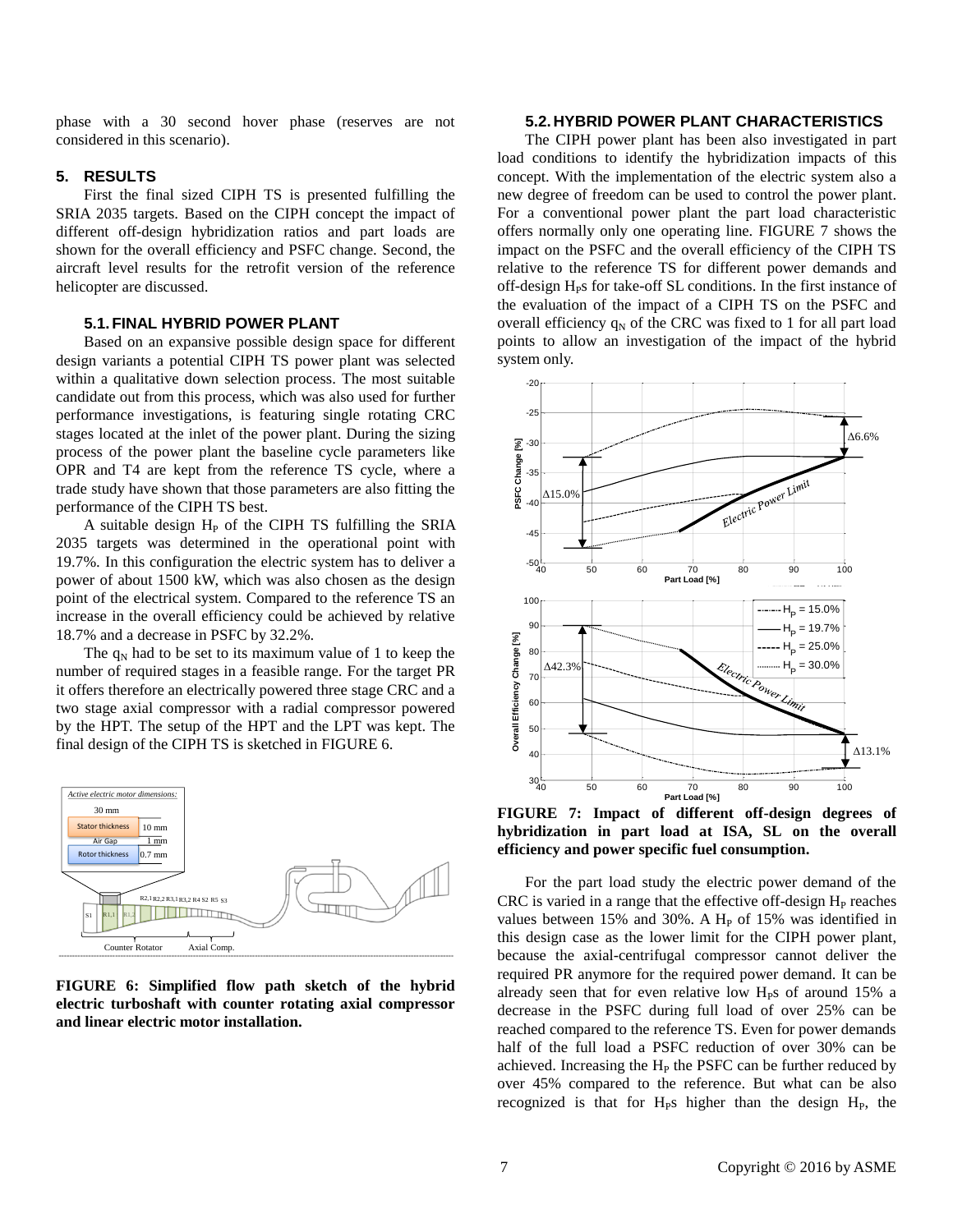phase with a 30 second hover phase (reserves are not considered in this scenario).

#### **5. RESULTS**

First the final sized CIPH TS is presented fulfilling the SRIA 2035 targets. Based on the CIPH concept the impact of different off-design hybridization ratios and part loads are shown for the overall efficiency and PSFC change. Second, the aircraft level results for the retrofit version of the reference helicopter are discussed.

#### **5.1.FINAL HYBRID POWER PLANT**

Based on an expansive possible design space for different design variants a potential CIPH TS power plant was selected within a qualitative down selection process. The most suitable candidate out from this process, which was also used for further performance investigations, is featuring single rotating CRC stages located at the inlet of the power plant. During the sizing process of the power plant the baseline cycle parameters like OPR and T4 are kept from the reference TS cycle, where a trade study have shown that those parameters are also fitting the performance of the CIPH TS best.

A suitable design  $H<sub>P</sub>$  of the CIPH TS fulfilling the SRIA 2035 targets was determined in the operational point with 19.7%. In this configuration the electric system has to deliver a power of about 1500 kW, which was also chosen as the design point of the electrical system. Compared to the reference TS an increase in the overall efficiency could be achieved by relative 18.7% and a decrease in PSFC by 32.2%.

The  $q_N$  had to be set to its maximum value of 1 to keep the number of required stages in a feasible range. For the target PR it offers therefore an electrically powered three stage CRC and a two stage axial compressor with a radial compressor powered by the HPT. The setup of the HPT and the LPT was kept. The final design of the CIPH TS is sketched i[n FIGURE 6.](#page-6-0)



<span id="page-6-0"></span>**FIGURE 6: Simplified flow path sketch of the hybrid electric turboshaft with counter rotating axial compressor and linear electric motor installation.**

## **5.2. HYBRID POWER PLANT CHARACTERISTICS**

The CIPH power plant has been also investigated in part load conditions to identify the hybridization impacts of this concept. With the implementation of the electric system also a new degree of freedom can be used to control the power plant. For a conventional power plant the part load characteristic offers normally only one operating line. [FIGURE 7](#page-6-1) shows the impact on the PSFC and the overall efficiency of the CIPH TS relative to the reference TS for different power demands and off-design H<sub>PS</sub> for take-off SL conditions. In the first instance of the evaluation of the impact of a CIPH TS on the PSFC and overall efficiency  $q_N$  of the CRC was fixed to 1 for all part load points to allow an investigation of the impact of the hybrid .<br>system only.



<span id="page-6-1"></span>FIGURE 7: Impact of different off-design degrees of **hybridization in part load at ISA, SL on the overall efficiency and power specific fuel consumption.**

For the part load study the electric power demand of the CRC is varied in a range that the effective off-design  $H<sub>P</sub>$  reaches values between 15% and 30%. A  $H<sub>P</sub>$  of 15% was identified in this design case as the lower limit for the CIPH power plant, because the axial-centrifugal compressor cannot deliver the required PR anymore for the required power demand. It can be already seen that for even relative low H<sub>PS</sub> of around 15% a decrease in the PSFC during full load of over 25% can be reached compared to the reference TS. Even for power demands half of the full load a PSFC reduction of over 30% can be achieved. Increasing the  $H<sub>P</sub>$  the PSFC can be further reduced by over 45% compared to the reference. But what can be also recognized is that for  $H_{PS}$  higher than the design  $H_{P}$ , the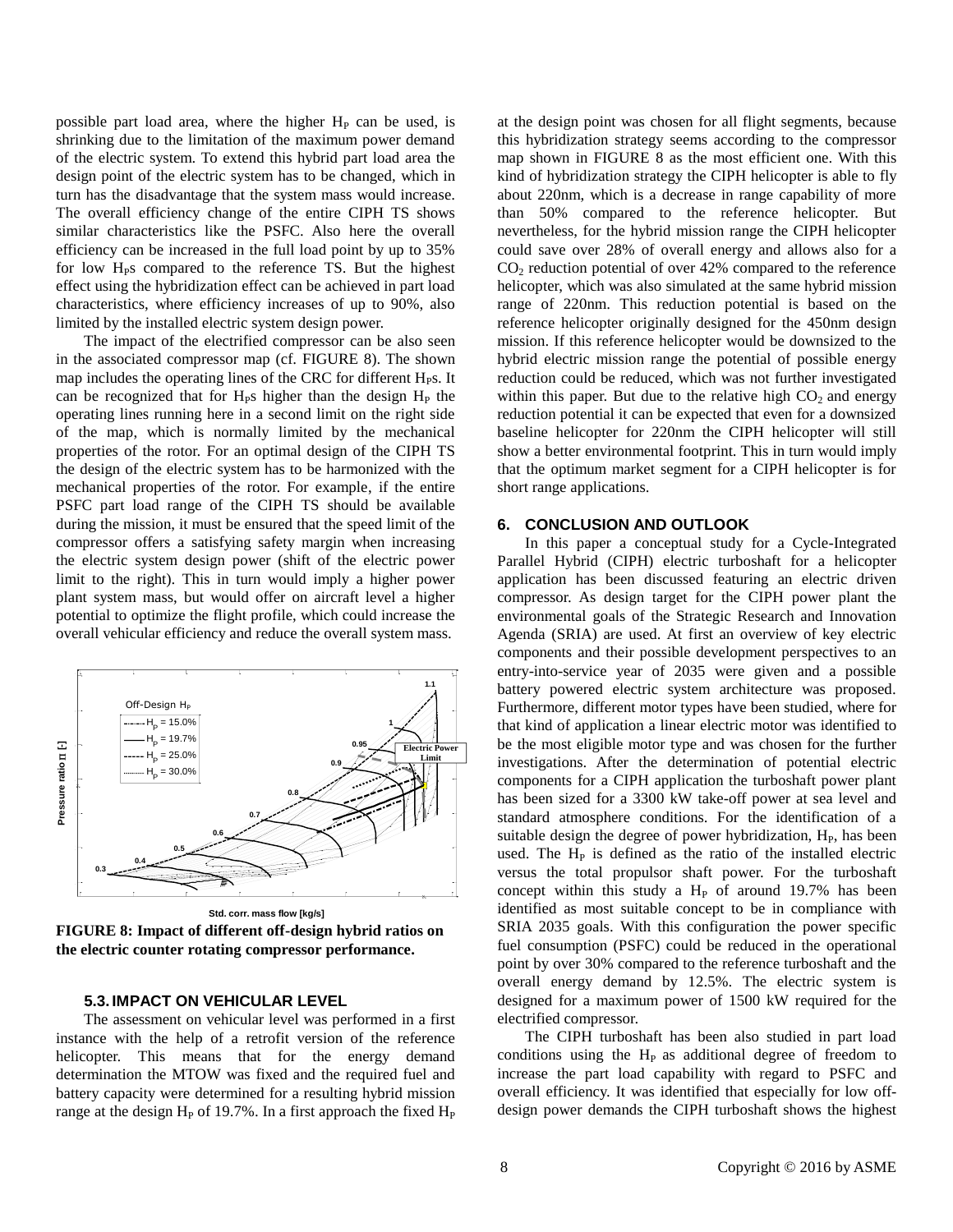possible part load area, where the higher  $H<sub>P</sub>$  can be used, is shrinking due to the limitation of the maximum power demand of the electric system. To extend this hybrid part load area the design point of the electric system has to be changed, which in turn has the disadvantage that the system mass would increase. The overall efficiency change of the entire CIPH TS shows similar characteristics like the PSFC. Also here the overall efficiency can be increased in the full load point by up to 35% for low H<sub>PS</sub> compared to the reference TS. But the highest effect using the hybridization effect can be achieved in part load characteristics, where efficiency increases of up to 90%, also limited by the installed electric system design power.

The impact of the electrified compressor can be also seen in the associated compressor map (cf. [FIGURE 8\)](#page-7-0). The shown map includes the operating lines of the CRC for different  $H_{PS}$ . It can be recognized that for  $H_{\rm P}$ s higher than the design  $H_{\rm P}$  the operating lines running here in a second limit on the right side of the map, which is normally limited by the mechanical properties of the rotor. For an optimal design of the CIPH TS the design of the electric system has to be harmonized with the mechanical properties of the rotor. For example, if the entire PSFC part load range of the CIPH TS should be available during the mission, it must be ensured that the speed limit of the compressor offers a satisfying safety margin when increasing the electric system design power (shift of the electric power limit to the right). This in turn would imply a higher power plant system mass, but would offer on aircraft level a higher potential to optimize the flight profile, which could increase the overall vehicular efficiency and reduce the overall system mass.



<span id="page-7-0"></span>**FIGURE 8: Impact of different off-design hybrid ratios on the electric counter rotating compressor performance.**

#### **5.3. IMPACT ON VEHICULAR LEVEL**

3 battery capacity were determined for a resulting hybrid mission helicopter. This means that for the energy demand **0.8** instance with the help of a retrofit version of the reference The assessment on vehicular level was performed in a first determination the MTOW was fixed and the req<br>determination the MTOW was fixed and the req<br>battery capacity were determined for a resulting  $\frac{1}{2}$ <br>range at the design  $H_P$  of 19.7%. In a first approac determination the MTOW was fixed and the required fuel and range at the design  $H<sub>P</sub>$  of 19.7%. In a first approach the fixed  $H<sub>P</sub>$ 

at the design point was chosen for all flight segments, because this hybridization strategy seems according to the compressor map shown in [FIGURE 8](#page-7-0) as the most efficient one. With this kind of hybridization strategy the CIPH helicopter is able to fly about 220nm, which is a decrease in range capability of more than 50% compared to the reference helicopter. But nevertheless, for the hybrid mission range the CIPH helicopter could save over 28% of overall energy and allows also for a  $CO<sub>2</sub>$  reduction potential of over 42% compared to the reference helicopter, which was also simulated at the same hybrid mission range of 220nm. This reduction potential is based on the reference helicopter originally designed for the 450nm design mission. If this reference helicopter would be downsized to the hybrid electric mission range the potential of possible energy reduction could be reduced, which was not further investigated within this paper. But due to the relative high  $CO<sub>2</sub>$  and energy reduction potential it can be expected that even for a downsized baseline helicopter for 220nm the CIPH helicopter will still show a better environmental footprint. This in turn would imply that the optimum market segment for a CIPH helicopter is for short range applications.

#### **6. CONCLUSION AND OUTLOOK**

identified as most suitable concept to be in compliance with versus the total propulsor shaft power. For the turboshaft suitable design the degree of power hybridization, H<sub>P</sub>, has been has been sized for a 3300 kW take-off power at sea level and 5 investigations. After the determination of potential electric that kind of application a linear electric motor was identified to 7 battery powered electric system architecture was proposed. used. The H<sub>P</sub> is defined as the ratio of the installed electric standard atmosphere conditions. For the identification of a components for a CIPH application the turboshaft power plant be the most eligible motor type and was chosen for the further Furthermore, different motor types have been studied, where for Stellighteemotor type and was chosen for<br>ions. After the determination of potentit<br>ats for a CIPH application the turboshaft p<br>sized for a 3300 kW take-off power at sea<br>atmosphere conditions. For the identific-<br>esign the electrified compressor. designed for a maximum power of 1500 kW required for the **0.9** In this paper a conceptual study for a Cycle-Integrated Parallel Hybrid (CIPH) electric turboshaft for a helicopter application has been discussed featuring an electric driven compressor. As design target for the CIPH power plant the environmental goals of the Strategic Research and Innovation Agenda (SRIA) are used. At first an overview of key electric components and their possible development perspectives to an entry-into-service year of 2035 were given and a possible concept within this study a  $H<sub>P</sub>$  of around 19.7% has been SRIA 2035 goals. With this configuration the power specific fuel consumption (PSFC) could be reduced in the operational point by over 30% compared to the reference turboshaft and the overall energy demand by 12.5%. The electric system is

overall efficiency. It was identified that especially for low off-7 **0.7** increase the part load capability with regard to PSFC and conditions using the H<sub>P</sub> as additional degree of freedom to **0.8** The CIPH turboshaft has been also studied in part load It is using the Tip as additional degree of Heedo.<br>the part load capability with regard to PSFC<br>fficiency. It was identified that especially for low<br>ower demands the CIPH turboshaft shows the hi<sub>l</sub><br>Copyright © 2016 by A. design power demands the CIPH turboshaft shows the highest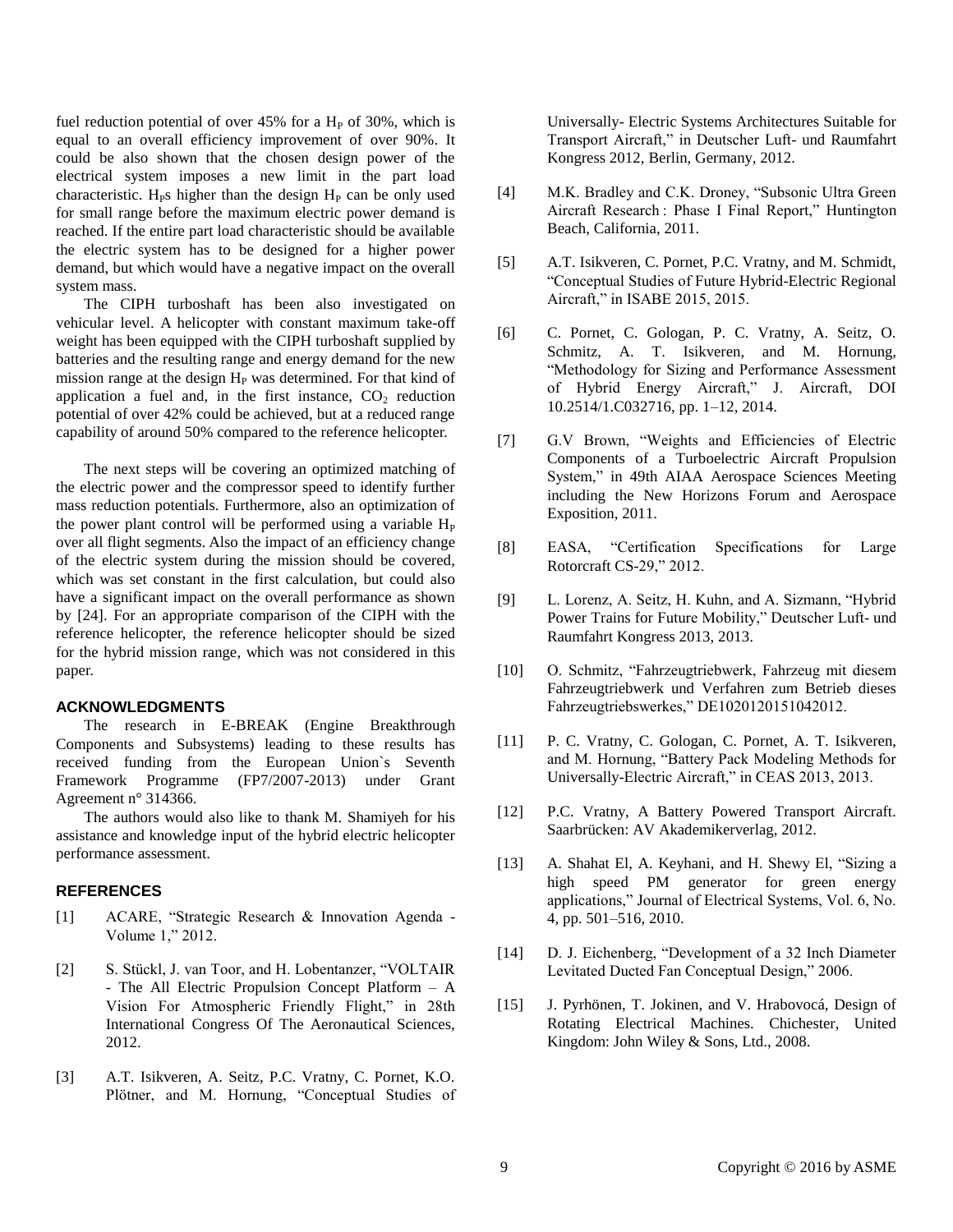fuel reduction potential of over  $45\%$  for a H<sub>P</sub> of 30%, which is equal to an overall efficiency improvement of over 90%. It could be also shown that the chosen design power of the electrical system imposes a new limit in the part load characteristic. H<sub>P</sub>s higher than the design  $H<sub>P</sub>$  can be only used for small range before the maximum electric power demand is reached. If the entire part load characteristic should be available the electric system has to be designed for a higher power demand, but which would have a negative impact on the overall system mass.

The CIPH turboshaft has been also investigated on vehicular level. A helicopter with constant maximum take-off weight has been equipped with the CIPH turboshaft supplied by batteries and the resulting range and energy demand for the new mission range at the design  $H<sub>P</sub>$  was determined. For that kind of application a fuel and, in the first instance,  $CO<sub>2</sub>$  reduction potential of over 42% could be achieved, but at a reduced range capability of around 50% compared to the reference helicopter.

The next steps will be covering an optimized matching of the electric power and the compressor speed to identify further mass reduction potentials. Furthermore, also an optimization of the power plant control will be performed using a variable  $H<sub>P</sub>$ over all flight segments. Also the impact of an efficiency change of the electric system during the mission should be covered, which was set constant in the first calculation, but could also have a significant impact on the overall performance as shown by [24]. For an appropriate comparison of the CIPH with the reference helicopter, the reference helicopter should be sized for the hybrid mission range, which was not considered in this paper.

### **ACKNOWLEDGMENTS**

The research in E-BREAK (Engine Breakthrough Components and Subsystems) leading to these results has received funding from the European Union`s Seventh Framework Programme (FP7/2007-2013) under Grant Agreement n° 314366.

The authors would also like to thank M. Shamiyeh for his assistance and knowledge input of the hybrid electric helicopter performance assessment.

#### **REFERENCES**

- [1] ACARE, "Strategic Research & Innovation Agenda Volume 1," 2012.
- [2] S. Stückl, J. van Toor, and H. Lobentanzer, "VOLTAIR - The All Electric Propulsion Concept Platform – A Vision For Atmospheric Friendly Flight," in 28th International Congress Of The Aeronautical Sciences, 2012.
- [3] A.T. Isikveren, A. Seitz, P.C. Vratny, C. Pornet, K.O. Plötner, and M. Hornung, "Conceptual Studies of

Universally- Electric Systems Architectures Suitable for Transport Aircraft," in Deutscher Luft- und Raumfahrt Kongress 2012, Berlin, Germany, 2012.

- [4] M.K. Bradley and C.K. Droney, "Subsonic Ultra Green Aircraft Research : Phase I Final Report," Huntington Beach, California, 2011.
- [5] A.T. Isikveren, C. Pornet, P.C. Vratny, and M. Schmidt, "Conceptual Studies of Future Hybrid-Electric Regional Aircraft," in ISABE 2015, 2015.
- [6] C. Pornet, C. Gologan, P. C. Vratny, A. Seitz, O. Schmitz, A. T. Isikveren, and M. Hornung, "Methodology for Sizing and Performance Assessment of Hybrid Energy Aircraft," J. Aircraft, DOI 10.2514/1.C032716, pp. 1–12, 2014.
- [7] G.V Brown, "Weights and Efficiencies of Electric Components of a Turboelectric Aircraft Propulsion System," in 49th AIAA Aerospace Sciences Meeting including the New Horizons Forum and Aerospace Exposition, 2011.
- [8] EASA, "Certification Specifications for Large Rotorcraft CS-29," 2012.
- [9] L. Lorenz, A. Seitz, H. Kuhn, and A. Sizmann, "Hybrid Power Trains for Future Mobility," Deutscher Luft- und Raumfahrt Kongress 2013, 2013.
- [10] O. Schmitz, "Fahrzeugtriebwerk, Fahrzeug mit diesem Fahrzeugtriebwerk und Verfahren zum Betrieb dieses Fahrzeugtriebswerkes," DE1020120151042012.
- [11] P. C. Vratny, C. Gologan, C. Pornet, A. T. Isikveren, and M. Hornung, "Battery Pack Modeling Methods for Universally-Electric Aircraft," in CEAS 2013, 2013.
- [12] P.C. Vratny, A Battery Powered Transport Aircraft. Saarbrücken: AV Akademikerverlag, 2012.
- [13] A. Shahat El, A. Keyhani, and H. Shewy El, "Sizing a high speed PM generator for green energy applications," Journal of Electrical Systems, Vol. 6, No. 4, pp. 501–516, 2010.
- [14] D. J. Eichenberg, "Development of a 32 Inch Diameter Levitated Ducted Fan Conceptual Design," 2006.
- [15] J. Pyrhönen, T. Jokinen, and V. Hrabovocá, Design of Rotating Electrical Machines. Chichester, United Kingdom: John Wiley & Sons, Ltd., 2008.